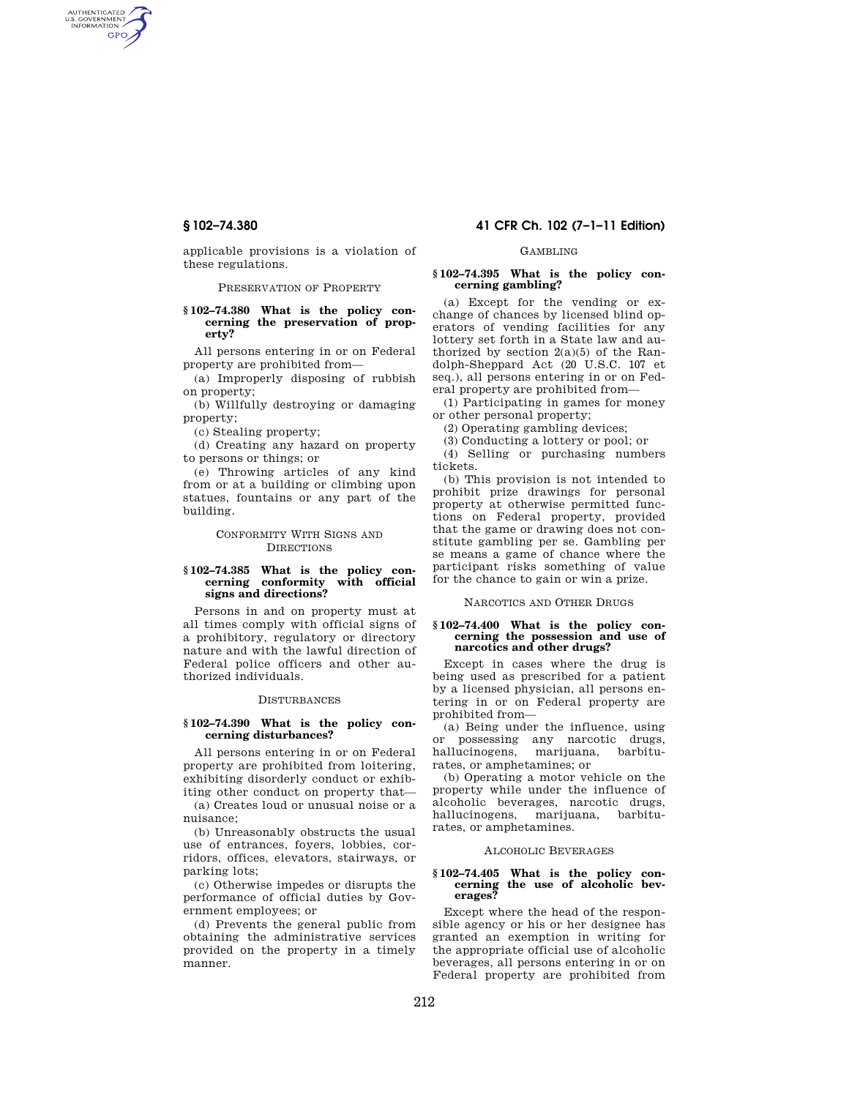AUTHENTICATED<br>U.S. GOVERNMENT<br>INFORMATION GPO

> applicable provisions is a violation of these regulations.

> > PRESERVATION OF PROPERTY

#### **§ 102–74.380 What is the policy concerning the preservation of property?**

All persons entering in or on Federal property are prohibited from—

(a) Improperly disposing of rubbish on property;

(b) Willfully destroying or damaging property;

(c) Stealing property;

(d) Creating any hazard on property to persons or things; or

(e) Throwing articles of any kind from or at a building or climbing upon statues, fountains or any part of the building.

#### CONFORMITY WITH SIGNS AND **DIRECTIONS**

#### **§ 102–74.385 What is the policy concerning conformity with official signs and directions?**

Persons in and on property must at all times comply with official signs of a prohibitory, regulatory or directory nature and with the lawful direction of Federal police officers and other authorized individuals.

# **DISTURBANCES**

# **§ 102–74.390 What is the policy concerning disturbances?**

All persons entering in or on Federal property are prohibited from loitering, exhibiting disorderly conduct or exhibiting other conduct on property that—

(a) Creates loud or unusual noise or a nuisance;

(b) Unreasonably obstructs the usual use of entrances, foyers, lobbies, corridors, offices, elevators, stairways, or parking lots;

(c) Otherwise impedes or disrupts the performance of official duties by Government employees; or

(d) Prevents the general public from obtaining the administrative services provided on the property in a timely manner.

# **§ 102–74.380 41 CFR Ch. 102 (7–1–11 Edition)**

# GAMBLING

# **§ 102–74.395 What is the policy concerning gambling?**

(a) Except for the vending or exchange of chances by licensed blind operators of vending facilities for any lottery set forth in a State law and authorized by section  $2(a)(5)$  of the Randolph-Sheppard Act (20 U.S.C. 107 et seq.), all persons entering in or on Federal property are prohibited from—

(1) Participating in games for money or other personal property;

(2) Operating gambling devices;

(3) Conducting a lottery or pool; or

(4) Selling or purchasing numbers tickets.

(b) This provision is not intended to prohibit prize drawings for personal property at otherwise permitted functions on Federal property, provided that the game or drawing does not constitute gambling per se. Gambling per se means a game of chance where the participant risks something of value for the chance to gain or win a prize.

NARCOTICS AND OTHER DRUGS

#### **§ 102–74.400 What is the policy concerning the possession and use of narcotics and other drugs?**

Except in cases where the drug is being used as prescribed for a patient by a licensed physician, all persons entering in or on Federal property are prohibited from—

(a) Being under the influence, using or possessing any narcotic drugs, hallucinogens, marijuana, barbiturates, or amphetamines; or

(b) Operating a motor vehicle on the property while under the influence of alcoholic beverages, narcotic drugs, hallucinogens, marijuana, barbiturates, or amphetamines.

#### ALCOHOLIC BEVERAGES

# **§ 102–74.405 What is the policy concerning the use of alcoholic beverages?**

Except where the head of the responsible agency or his or her designee has granted an exemption in writing for the appropriate official use of alcoholic beverages, all persons entering in or on Federal property are prohibited from